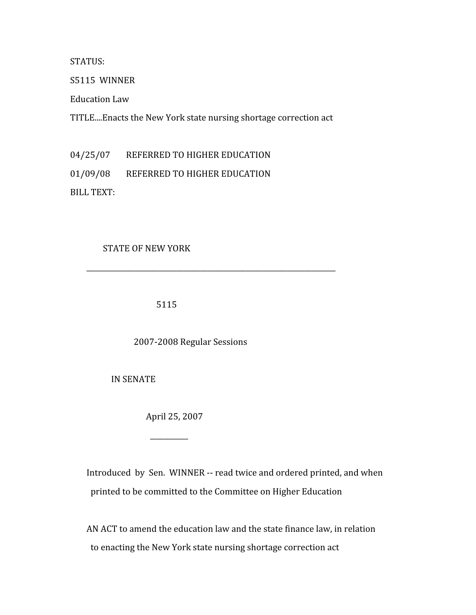STATUS:

S5115

WINNER

Education
Law

TITLE....Enacts
the
New
York
state
nursing
shortage
correction
act

04/25/07 REFERRED TO HIGHER EDUCATION

01/09/08 REFERRED TO HIGHER EDUCATION

BILL
TEXT:

## STATE
OF
NEW
YORK

5115

2007‐2008
Regular
Sessions

\_\_\_\_\_\_\_\_\_\_\_\_\_\_\_\_\_\_\_\_\_\_\_\_\_\_\_\_\_\_\_\_\_\_\_\_\_\_\_\_\_\_\_\_\_\_\_\_\_\_\_\_\_\_\_\_\_\_\_\_\_\_\_\_\_\_\_\_\_\_\_\_

IN
SENATE

 $\overline{\phantom{a}}$ 

April
25,
2007

Introduced by Sen. WINNER -- read twice and ordered printed, and when printed
to
be
committed
to
the
Committee
on
Higher
Education

AN
ACT
to
amend
the
education
law
and
the
state
finance
law,
in
relation to
enacting
the
New
York
state
nursing
shortage
correction
act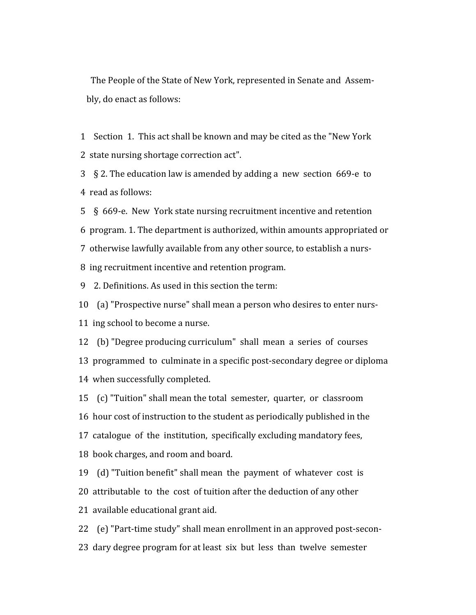The People of the State of New York, represented in Senate and Assem-bly,
do
enact
as
follows:

1 Section 1. This act shall be known and may be cited as the "New York" 2

state
nursing
shortage
correction
act".

3 § 2. The education law is amended by adding a new section 669-e to 4

read
as
follows:

5 § 669-e. New York state nursing recruitment incentive and retention 6

program.
1.
The
department
is
authorized,
within
amounts
appropriated
or 7

otherwise
lawfully
available
from
any
other
source,
to
establish
a
nurs‐ 8

ing
recruitment
incentive
and
retention
program.

9

2.
Definitions.
As
used
in
this
section
the
term:

10

(a)
"Prospective
nurse"
shall
mean
a
person
who
desires
to
enter
nurs‐

11

ing
school
to
become
a
nurse.

12

(b)
"Degree
producing
curriculum"

shall

mean

a

series

of

courses 13

programmed

to

culminate
in
a
specific
post‐secondary
degree
or
diploma 14

when
successfully
completed.

15 (c) "Tuition" shall mean the total semester, quarter, or classroom 16 hour cost of instruction to the student as periodically published in the 17 catalogue of the institution, specifically excluding mandatory fees, 18

book
charges,
and
room
and
board.

19 (d) "Tuition benefit" shall mean the payment of whatever cost is 20 attributable to the cost of tuition after the deduction of any other

21

available
educational
grant
aid.

22

(e)
"Part‐time
study"
shall
mean
enrollment
in
an
approved
post‐secon‐ 23

dary
degree
program
for
at
least

six

but

less

than

twelve

semester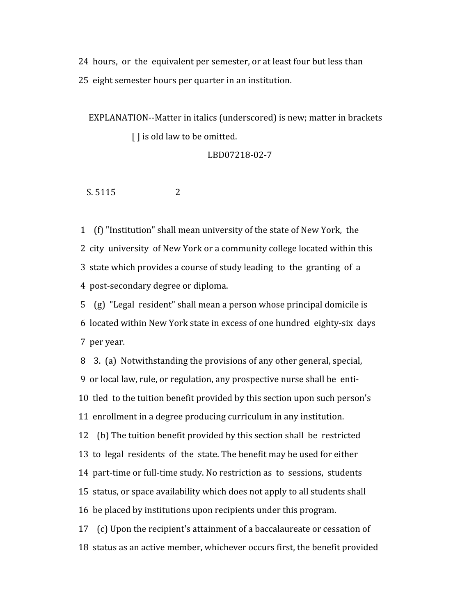24 hours, or the equivalent per semester, or at least four but less than 25

eight
semester
hours
per
quarter
in
an
institution.

EXPLANATION--Matter in italics (underscored) is new; matter in brackets [] is old law to be omitted.

LBD07218‐02‐7

S. 5115 2

1

(f)
"Institution"
shall
mean
university
of
the
state
of
New
York,

the 2 city university of New York or a community college located within this 3 state which provides a course of study leading to the granting of a 4

post‐secondary
degree
or
diploma.

5

(g)

"Legal

resident"
shall
mean
a
person
whose
principal
domicile
is 6

located
within
New
York
state
in
excess
of
one
hundred

eighty‐six

days 7

per
year.

8

3.

(a)

Notwithstanding
the
provisions
of
any
other
general,
special, 9 or local law, rule, or regulation, any prospective nurse shall be enti-10 tled to the tuition benefit provided by this section upon such person's 11

enrollment
in
a
degree
producing
curriculum
in
any
institution.

12

(b)
The
tuition
benefit
provided
by
this
section
shall

be

restricted 13 to legal residents of the state. The benefit may be used for either 14 part-time or full-time study. No restriction as to sessions, students 15

status,
or
space
availability
which
does
not
apply
to
all
students
shall 16

be
placed
by
institutions
upon
recipients
under
this
program. 17 (c) Upon the recipient's attainment of a baccalaureate or cessation of

18

status
as
an
active
member,
whichever
occurs
first,
the
benefit
provided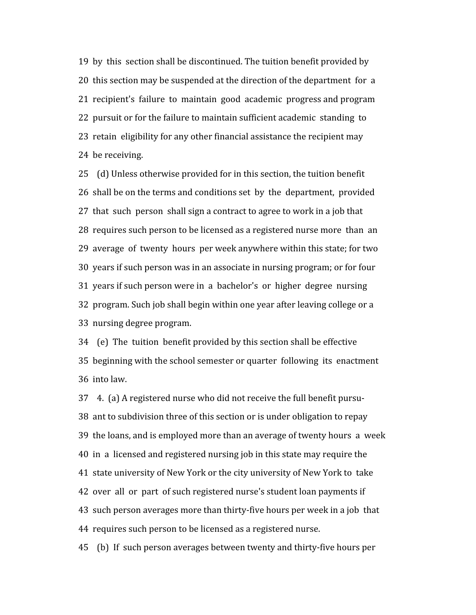19

by

this

section
shall
be
discontinued.
The
tuition
benefit
provided
by 20 this section may be suspended at the direction of the department for a 21 recipient's failure to maintain good academic progress and program 22 pursuit or for the failure to maintain sufficient academic standing to 23 retain eligibility for any other financial assistance the recipient may 24

be
receiving.

25

(d)
Unless
otherwise
provided
for
in
this
section,
the
tuition
benefit 26

shall
be
on
the
terms
and
conditions
set

by

the

department,

provided 27 that such person shall sign a contract to agree to work in a job that 28 requires such person to be licensed as a registered nurse more than an 29

average

of

twenty

hours

per
week
anywhere
within
this
state;
for
two 30

years
if
such
person
was
in
an
associate
in
nursing
program;
or
for
four 31

years
if
such
person
were
in

a

bachelor's

or

higher

degree

nursing 32

program.
Such
job
shall
begin
within
one
year
after
leaving
college
or
a 33

nursing
degree
program.

34

(e)

The

tuition

benefit
provided
by
this
section
shall
be
effective 35

beginning
with
the
school
semester
or
quarter

following

its

enactment 36

into
law.

37

4.

(a)
A
registered
nurse
who
did
not
receive
the
full
benefit
pursu‐ 38

ant
to
subdivision
three
of
this
section
or
is
under
obligation
to
repay 39

the
loans,
and
is
employed
more
than
an
average
of
twenty
hours

a

week 40

in

a

licensed
and
registered
nursing
job
in
this
state
may
require
the 41 state university of New York or the city university of New York to take 42 over all or part of such registered nurse's student loan payments if 43

such
person
averages
more
than
thirty‐five
hours
per
week
in
a
job

that 44

requires
such
person
to
be
licensed
as
a
registered
nurse.

45

(b)

If

such
person
averages
between
twenty
and
thirty‐five
hours
per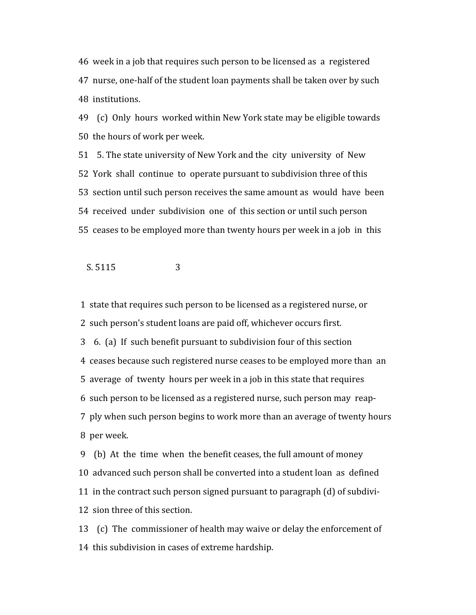46

week
in
a
job
that
requires
such
person
to
be
licensed
as

a

registered 47 nurse, one-half of the student loan payments shall be taken over by such 48

institutions.

49

(c)

Only

hours

worked
within
New
York
state
may
be
eligible
towards 50 the hours of work per week.

51 5. The state university of New York and the city university of New 52

York

shall

continue

to

operate
pursuant
to
subdivision
three
of
this 53

section
until
such
person
receives
the
same
amount
as

would

have

been 54

received

under

subdivision

one

of

this
section
or
until
such
person 55

ceases
to
be
employed
more
than
twenty
hours
per
week
in
a
job

in

this

S. 5115 3

1

state
that
requires
such
person
to
be
licensed
as
a
registered
nurse,
or 2

such
person's
student
loans
are
paid
off,
whichever
occurs
first. 3 6. (a) If such benefit pursuant to subdivision four of this section 4 ceases because such registered nurse ceases to be employed more than an 5

average

of

twenty

hours
per
week
in
a
job
in
this
state
that
requires 6

such
person
to
be
licensed
as
a
registered
nurse,
such
person
may

reap‐

7

ply
when
such
person
begins
to
work
more
than
an
average
of
twenty
hours 8

per
week.

9

(b)

At

the

time

when

the
benefit
ceases,
the
full
amount
of
money 10 advanced such person shall be converted into a student loan as defined 11

in
the
contract
such
person
signed
pursuant
to
paragraph
(d)
of
subdivi‐ 12 sion three of this section.

13

(c)

The

commissioner
of
health
may
waive
or
delay
the
enforcement
of 14

this
subdivision
in
cases
of
extreme
hardship.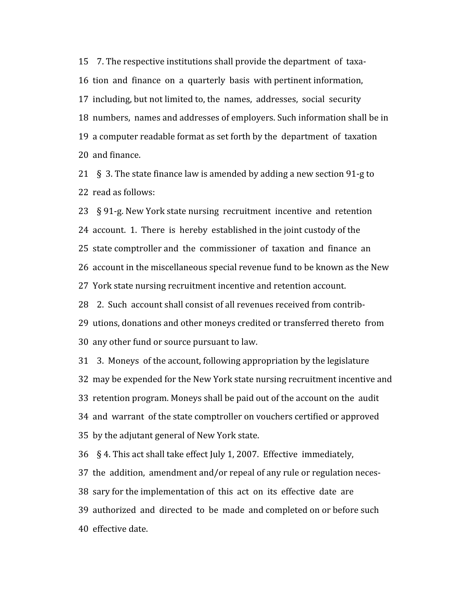15 7. The respective institutions shall provide the department of taxa-16 tion and finance on a quarterly basis with pertinent information, 17 including, but not limited to, the names, addresses, social security 18 numbers, names and addresses of employers. Such information shall be in 19

a
computer
readable
format
as
set
forth
by
the

department

of

taxation 20

and
finance.

21 § 3. The state finance law is amended by adding a new section 91-g to 22

read
as
follows:

23 § 91-g. New York state nursing recruitment incentive and retention 24 account. 1. There is hereby established in the joint custody of the 25 state comptroller and the commissioner of taxation and finance an 26 account in the miscellaneous special revenue fund to be known as the New 27

York
state
nursing
recruitment
incentive
and
retention
account.

28 2. Such account shall consist of all revenues received from contrib-29

utions,
donations
and
other
moneys
credited
or
transferred
thereto

from 30

any
other
fund
or
source
pursuant
to
law.

31

3.

Moneys

of
the
account,
following
appropriation
by
the
legislature 32

may
be
expended
for
the
New
York
state
nursing
recruitment
incentive
and 33

retention
program.
Moneys
shall
be
paid
out
of
the
account
on
the

audit 34

and

warrant

of
the
state
comptroller
on
vouchers
certified
or
approved 35

by
the
adjutant
general
of
New
York
state.

36

§
4.
This
act
shall
take
effect
July
1,
2007.

Effective

immediately,

37

the

addition,

amendment
and/or
repeal
of
any
rule
or
regulation
neces‐

38 sary for the implementation of this act on its effective date are

39

authorized

and

directed

to

be

made

and
completed
on
or
before
such 40

effective
date.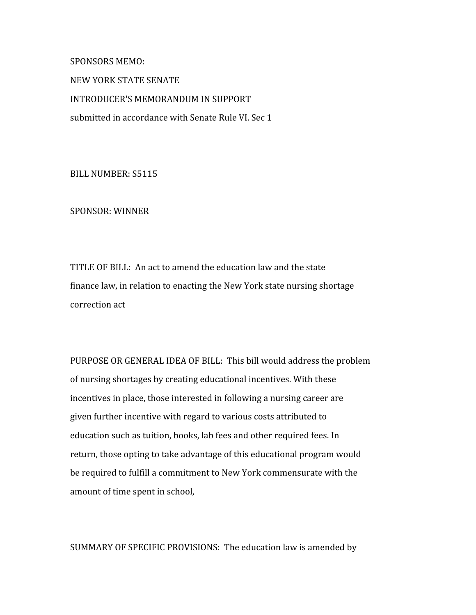NEW
YORK
STATE
SENATE INTRODUCER'S
MEMORANDUM
IN
SUPPORT submitted
in
accordance
with
Senate
Rule
VI.
Sec
1

BILL
NUMBER:
S5115

SPONSORS
MEMO:

SPONSOR:
WINNER

TITLE
OF
BILL:

An
act
to
amend
the
education
law
and
the
state finance law, in relation to enacting the New York state nursing shortage correction
act

PURPOSE OR GENERAL IDEA OF BILL: This bill would address the problem of
nursing
shortages
by
creating
educational
incentives.
With
these incentives
in
place,
those
interested
in
following
a
nursing
career
are given
further
incentive
with
regard
to
various
costs
attributed
to education such as tuition, books, lab fees and other required fees. In return, those opting to take advantage of this educational program would be
required
to
fulfill
a
commitment
to
New
York
commensurate
with
the amount
of
time
spent
in
school,

SUMMARY
OF
SPECIFIC
PROVISIONS:

The
education
law
is
amended
by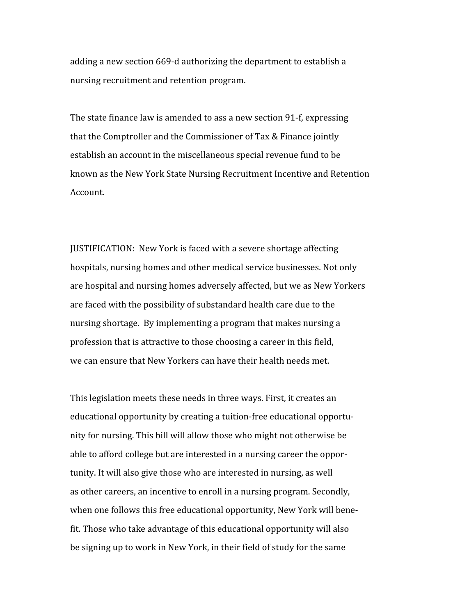adding
a
new
section
669‐d
authorizing
the
department
to
establish
a nursing
recruitment
and
retention
program.

The
state
finance
law
is
amended
to
ass
a
new
section
91‐f,
expressing that the Comptroller and the Commissioner of Tax & Finance jointly establish
an
account
in
the
miscellaneous
special
revenue
fund
to
be known
as
the
New
York
State
Nursing
Recruitment
Incentive
and
Retention Account.

JUSTIFICATION:

New
York
is
faced
with
a
severe
shortage
affecting hospitals, nursing homes and other medical service businesses. Not only are
hospital
and
nursing
homes
adversely
affected,
but
we
as
New
Yorkers are
faced
with
the
possibility
of
substandard
health
care
due
to
the nursing
shortage.

By
implementing
a
program
that
makes
nursing
a profession that is attractive to those choosing a career in this field, we can ensure that New Yorkers can have their health needs met.

This
legislation
meets
these
needs
in
three
ways.
First,
it
creates
an educational opportunity by creating a tuition-free educational opportunity
for
nursing.
This
bill
will
allow
those
who
might
not
otherwise
be able
to
afford
college
but
are
interested
in
a
nursing
career
the
oppor‐ tunity.
It
will
also
give
those
who
are
interested
in
nursing,
as
well as
other
careers,
an
incentive
to
enroll
in
a
nursing
program.
Secondly, when one follows this free educational opportunity, New York will benefit. Those who take advantage of this educational opportunity will also be
signing
up
to
work
in
New
York,
in
their
field
of
study
for
the
same